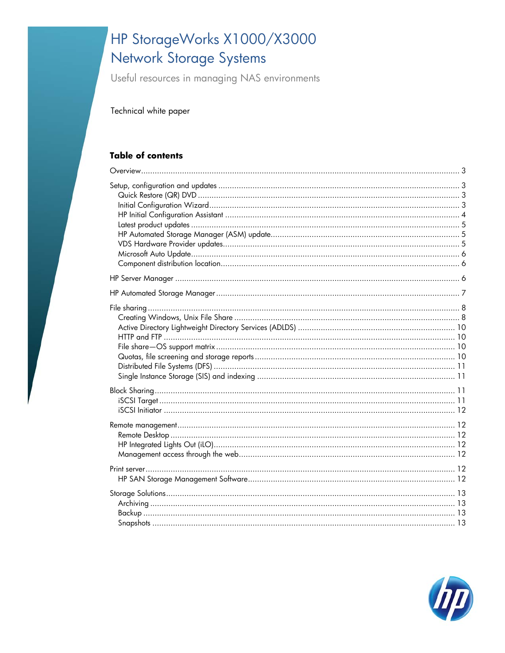# HP StorageWorks X1000/X3000 Network Storage Systems

Useful resources in managing NAS environments

Technical white paper

#### **Table of contents**

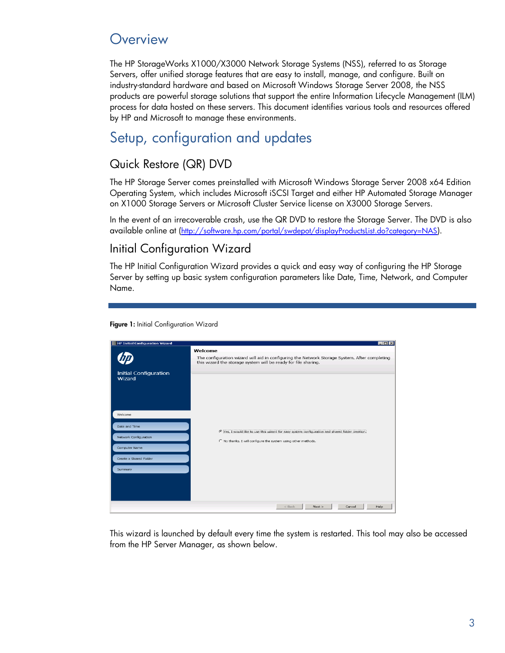## <span id="page-2-0"></span>**Overview**

The HP StorageWorks X1000/X3000 Network Storage Systems (NSS), referred to as Storage Servers, offer unified storage features that are easy to install, manage, and configure. Built on industry-standard hardware and based on Microsoft Windows Storage Server 2008, the NSS products are powerful storage solutions that support the entire Information Lifecycle Management (ILM) process for data hosted on these servers. This document identifies various tools and resources offered by HP and Microsoft to manage these environments.

# <span id="page-2-1"></span>Setup, configuration and updates

### <span id="page-2-2"></span>Quick Restore (QR) DVD

The HP Storage Server comes preinstalled with Microsoft Windows Storage Server 2008 x64 Edition Operating System, which includes Microsoft iSCSI Target and either HP Automated Storage Manager on X1000 Storage Servers or Microsoft Cluster Service license on X3000 Storage Servers.

In the event of an irrecoverable crash, use the QR DVD to restore the Storage Server. The DVD is also available online at (<http://software.hp.com/portal/swdepot/displayProductsList.do?category=NAS>).

### <span id="page-2-3"></span>Initial Configuration Wizard

The HP Initial Configuration Wizard provides a quick and easy way of configuring the HP Storage Server by setting up basic system configuration parameters like Date, Time, Network, and Computer Name.

| Welcome<br>The configuration wizard will aid in configuring the Network Storage System. After completing<br>this wizard the storage system will be ready for file sharing.<br><b>Initial Configuration</b><br>Wizard<br>Welcome<br>Date and Time<br>F Yes, I would like to use this wizard for easy system configuration and shared folder creation.<br>Network Configuration<br>C No thanks. I will configure the system using other methods.<br>Computer Name<br>Create a Shared Folder<br>Summary | <b>EHP Initial Configuration Wizard</b> | $\Box$ o $\times$ |
|------------------------------------------------------------------------------------------------------------------------------------------------------------------------------------------------------------------------------------------------------------------------------------------------------------------------------------------------------------------------------------------------------------------------------------------------------------------------------------------------------|-----------------------------------------|-------------------|
|                                                                                                                                                                                                                                                                                                                                                                                                                                                                                                      |                                         |                   |
|                                                                                                                                                                                                                                                                                                                                                                                                                                                                                                      |                                         |                   |
|                                                                                                                                                                                                                                                                                                                                                                                                                                                                                                      |                                         |                   |
|                                                                                                                                                                                                                                                                                                                                                                                                                                                                                                      |                                         |                   |
|                                                                                                                                                                                                                                                                                                                                                                                                                                                                                                      |                                         |                   |
|                                                                                                                                                                                                                                                                                                                                                                                                                                                                                                      |                                         |                   |
|                                                                                                                                                                                                                                                                                                                                                                                                                                                                                                      |                                         |                   |
| $<$ Back<br>Next<br>Help<br>Cancel                                                                                                                                                                                                                                                                                                                                                                                                                                                                   |                                         |                   |

Figure 1: Initial Configuration Wizard

This wizard is launched by default every time the system is restarted. This tool may also be accessed from the HP Server Manager, as shown below.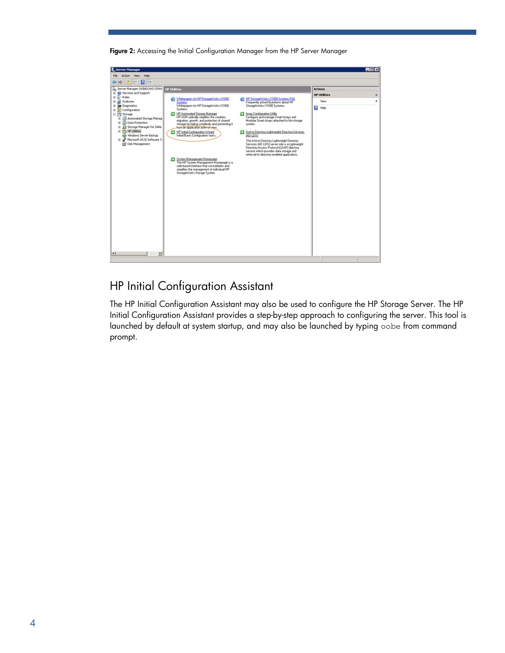Figure 2: Accessing the Initial Configuration Manager from the HP Server Manager



### <span id="page-3-0"></span>HP Initial Configuration Assistant

The HP Initial Configuration Assistant may also be used to configure the HP Storage Server. The HP Initial Configuration Assistant provides a step-by-step approach to configuring the server. This tool is launched by default at system startup, and may also be launched by typing oobe from command prompt.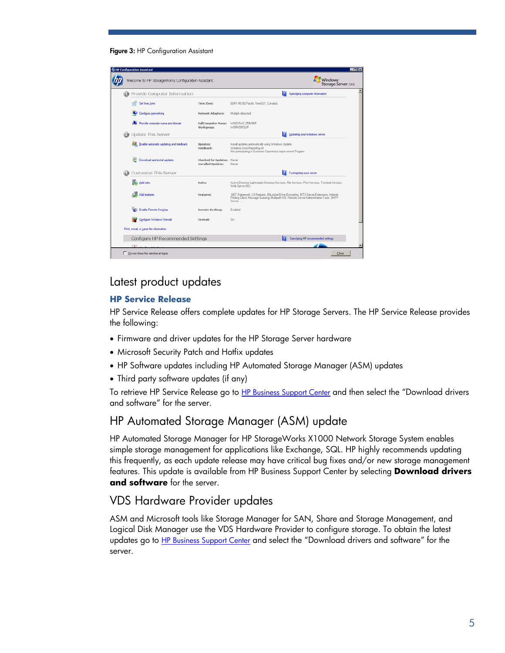

| Welcome to HP StorageWorks Configuration Assistant |                                                  | Windows <sup>®</sup><br>Storage Server 2008                                                                                                                                                      |
|----------------------------------------------------|--------------------------------------------------|--------------------------------------------------------------------------------------------------------------------------------------------------------------------------------------------------|
| Provide Computer Information                       |                                                  | и<br>Specifying computer information                                                                                                                                                             |
| Set time zone                                      | Time Zone:                                       | [GMT-08:00] Pacific Time [US_Canada]                                                                                                                                                             |
| Configure networking                               | Network Adapters:                                | Multiple detected                                                                                                                                                                                |
| Provide computer name and domain                   | <b>Full Computer Name:</b><br>Workgroup:         | WINDOWS-259V8NF<br>WORKGROUP                                                                                                                                                                     |
| <b>Update This Server</b>                          |                                                  | Updating your Windows server                                                                                                                                                                     |
| S. Enable automatic updating and feedback          | Updates:<br>Feedback:                            | Install updates automatically using Windows Update<br>Windows Error Reporting off<br>Not participating in Customer Experience Improvement Program                                                |
| Download and install updates                       | Checked for Updates: Never<br>Installed Updates: | Never                                                                                                                                                                                            |
| Customize This Server                              |                                                  | Customizing your server                                                                                                                                                                          |
| Add roles                                          | Roles:                                           | Active Directory Lightweight Directory Services, File Services, Print Services, Terminal Services,<br>Web Server (IIS)                                                                           |
| Add features                                       | Features:                                        | .NET Framework 3.0 Features, BitLocker Drive Encryption, BITS Server Extensions, Internet<br>Printing Client, Message Queuing, Multipath I/O, Remote Server Administration Tools, SMTP<br>Server |
| <b>SET Enable Remote Desktop</b>                   | <b>Remote Desktop:</b>                           | Enabled                                                                                                                                                                                          |
| Configure Windows Firewall                         | Firewall:                                        | On                                                                                                                                                                                               |
| Print, e-mail, or gave this information            |                                                  |                                                                                                                                                                                                  |
| Configure HP Recommended Settings                  |                                                  | Specifying HP recommended settings                                                                                                                                                               |
|                                                    |                                                  |                                                                                                                                                                                                  |

#### <span id="page-4-0"></span>Latest product updates

#### **HP Service Release**

HP Service Release offers complete updates for HP Storage Servers. The HP Service Release provides the following:

- Firmware and driver updates for the HP Storage Server hardware
- Microsoft Security Patch and Hotfix updates
- HP Software updates including HP Automated Storage Manager (ASM) updates
- Third party software updates (if any)

To retrieve HP Service Release go to <u>HP Business Support Center</u> and then select the "Download drivers and software" for the server.

#### <span id="page-4-1"></span>HP Automated Storage Manager (ASM) update

HP Automated Storage Manager for HP StorageWorks X1000 Network Storage System enables simple storage management for applications like Exchange, SQL. HP highly recommends updating this frequently, as each update release may have critical bug fixes and/or new storage management features. This update is available from [HP Business Support Center](http://h20000.www2.hp.com/bizsupport/TechSupport/Home.jsp?lang=en&cc=us&prodTypeId=12169&prodSeriesId=3954714&lang=en&cc=us) by selecting **Download drivers and software** for the server.

#### <span id="page-4-2"></span>VDS Hardware Provider updates

ASM and Microsoft tools like Storage Manager for SAN, Share and Storage Management, and Logical Disk Manager use the VDS Hardware Provider to configure storage. To obtain the latest updates go to [HP Business Support Center](http://h20000.www2.hp.com/bizsupport/TechSupport/Home.jsp?lang=en&cc=us&prodTypeId=12169&prodSeriesId=3954714&lang=en&cc=us) and select the "Download drivers and software" for the server.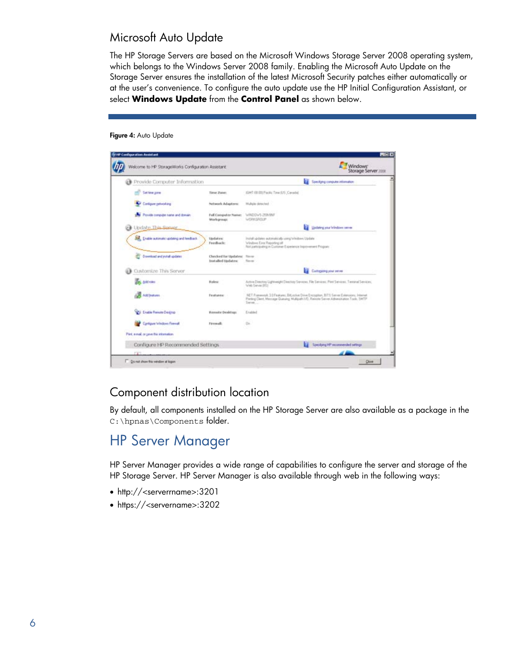### <span id="page-5-0"></span>Microsoft Auto Update

The HP Storage Servers are based on the Microsoft Windows Storage Server 2008 operating system, which belongs to the Windows Server 2008 family. Enabling the Microsoft Auto Update on the Storage Server ensures the installation of the latest Microsoft Security patches either automatically or at the user's convenience. To configure the auto update use the HP Initial Configuration Assistant, or select **Windows Update** from the **Control Panel** as shown below.

#### Figure 4: Auto Update

| Welcome.to HP StorageWorks Configuration Assistant |                                               |                                                                                                                                                                                                | <b>Windows</b><br>Storage Server 2008 |
|----------------------------------------------------|-----------------------------------------------|------------------------------------------------------------------------------------------------------------------------------------------------------------------------------------------------|---------------------------------------|
| <b>Provide Computer Information</b>                |                                               | и<br>Specifying computer information                                                                                                                                                           |                                       |
| <b>Carl fates gone</b>                             | Timer Zoolen                                  | IGMT-00:00) Piecilic Time (US ,Canada)                                                                                                                                                         |                                       |
| Configure petiodiang                               | Network Adapters:                             | Multiple detected                                                                                                                                                                              |                                       |
| Provide computer isate and domain                  | Full Correputer Nation<br>Work-prouse)        | WADDWS-2ER/INF<br>WORKSROUP                                                                                                                                                                    |                                       |
| Undate This Secure                                 |                                               | и<br>Uselating your Windows server                                                                                                                                                             |                                       |
| SR. Endie automatic updating and feedback          | <b>Updates:</b><br>Fredhack:                  | install updates automatically uning Windows Update<br>Washing Eine Reporting off<br>Aint participating in Customer Experience Inprovement Program                                              |                                       |
| Download and initial updates                       | Checked for thidates:<br>lisat alled Undates: | <b>News</b><br>Résume                                                                                                                                                                          |                                       |
| Customize This Server                              |                                               | Customered your server                                                                                                                                                                         |                                       |
| Add roles                                          | <b>Hales:</b>                                 | Active Directory Lightweight Directory Services, File Services, Part Services, Tentanal Services,<br>Web Service (IRS)                                                                         |                                       |
| Add (eatures                                       | Features:                                     | NET Framework: 10 Features, BitCocket Drive Excospion, BITS Server Extensions, Internet<br>Parting Client, Mensage Queuing, Mulliplath UO, Renote Server Administration Tools, SMTP<br>Series. |                                       |
| <b>NGL Enable Remote Designs</b>                   | <b>Hessels Desktup:</b>                       | Enabled                                                                                                                                                                                        |                                       |
| Configure Windows Firewall                         | Firewall:                                     | Dis-                                                                                                                                                                                           |                                       |
| Pint, e-nal, or prive this information.            |                                               |                                                                                                                                                                                                |                                       |
| Configure HP Recommended Settings                  |                                               |                                                                                                                                                                                                | Specifying HP recommended settings.   |
| <b>FW</b>                                          |                                               |                                                                                                                                                                                                |                                       |

### <span id="page-5-1"></span>Component distribution location

By default, all components installed on the HP Storage Server are also available as a package in the C:\hpnas\Components folder.

## <span id="page-5-2"></span>HP Server Manager

HP Server Manager provides a wide range of capabilities to configure the server and storage of the HP Storage Server. HP Server Manager is also available through web in the following ways:

- http://<serverrname>:3201
- https://<servername>:3202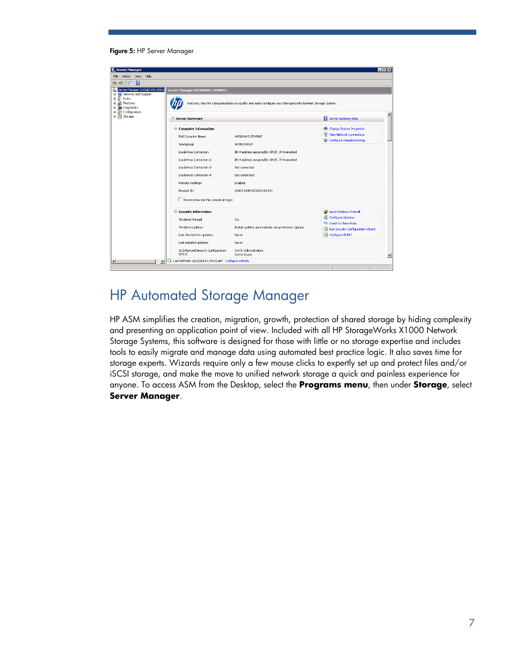#### Figure 5: HP Server Manager



## <span id="page-6-0"></span>HP Automated Storage Manager

HP ASM simplifies the creation, migration, growth, protection of shared storage by hiding complexity and presenting an application point of view. Included with all HP StorageWorks X1000 Network Storage Systems, this software is designed for those with little or no storage expertise and includes tools to easily migrate and manage data using automated best practice logic. It also saves time for storage experts. Wizards require only a few mouse clicks to expertly set up and protect files and/or iSCSI storage, and make the move to unified network storage a quick and painless experience for anyone. To access ASM from the Desktop*,* select the **Programs menu**, then under **Storage**, select **Server Manager**.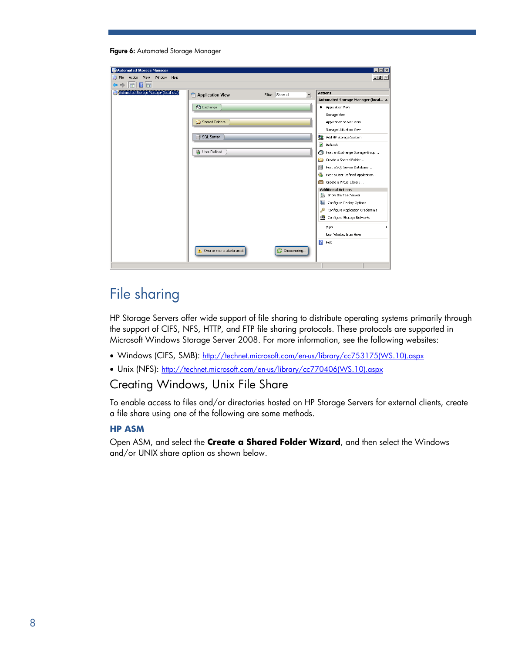|  | Figure 6: Automated Storage Manager |  |
|--|-------------------------------------|--|
|  |                                     |  |

| Automated Storage Manager                       |                                      | EOX                                                   |
|-------------------------------------------------|--------------------------------------|-------------------------------------------------------|
| Action View Window<br>Help<br>File              |                                      | $-1$ $-1 \times 1$                                    |
| $ 2 $ in<br>$\Rightarrow$<br>$\ \vec{r}\ $<br>⇦ |                                      |                                                       |
| Automated Storage Manager (localhost)           | Filter: Show all<br>Application View | <b>Actions</b><br>$\overline{\phantom{a}}$            |
|                                                 |                                      | Automated Storage Manager (local A                    |
|                                                 | <b>B</b> Exchange                    | · Application View                                    |
|                                                 |                                      | Storage View                                          |
|                                                 | Shared Folders                       | Application Server View                               |
|                                                 |                                      | Storage Utilization View                              |
|                                                 | <b>SQL</b> Server                    | 鶗<br>Add HP Storage System                            |
|                                                 |                                      | $\mathbf{z}$<br>Refresh                               |
|                                                 | <b>B</b> User-Defined                | Host an Exchange Storage Group                        |
|                                                 |                                      | Create a Shared Folder                                |
|                                                 |                                      | Host a SQL Server Database                            |
|                                                 |                                      | Host a User-Defined Application                       |
|                                                 |                                      | Create a Virtual Library                              |
|                                                 |                                      | <b>Additional Actions</b><br>Seg Show the Task Viewer |
|                                                 |                                      | A.<br>Configure Display Options                       |
|                                                 |                                      | <i>A</i><br>Configure Application Credentials         |
|                                                 |                                      | Configure Storage Networks                            |
|                                                 |                                      |                                                       |
|                                                 |                                      | View<br>New Window from Here                          |
|                                                 |                                      | $\sqrt{2}$<br>Help                                    |
|                                                 |                                      |                                                       |
|                                                 | <b>A</b> One or more alerts exist    | <b>B</b> Discovering                                  |
|                                                 |                                      |                                                       |

# <span id="page-7-0"></span>File sharing

HP Storage Servers offer wide support of file sharing to distribute operating systems primarily through the support of CIFS, NFS, HTTP, and FTP file sharing protocols. These protocols are supported in Microsoft Windows Storage Server 2008. For more information, see the following websites:

- Windows (CIFS, SMB): [http://technet.microsoft.com/en-us/library/cc753175\(WS.10\).aspx](http://technet.microsoft.com/en-us/library/cc753175(WS.10).aspx)
- Unix (NFS): [http://technet.microsoft.com/en-us/library/cc770406\(WS.10\).aspx](http://technet.microsoft.com/en-us/library/cc770406(WS.10).aspx)

#### <span id="page-7-1"></span>Creating Windows, Unix File Share

To enable access to files and/or directories hosted on HP Storage Servers for external clients, create a file share using one of the following are some methods.

#### **HP ASM**

Open ASM, and select the **Create a Shared Folder Wizard**, and then select the Windows and/or UNIX share option as shown below.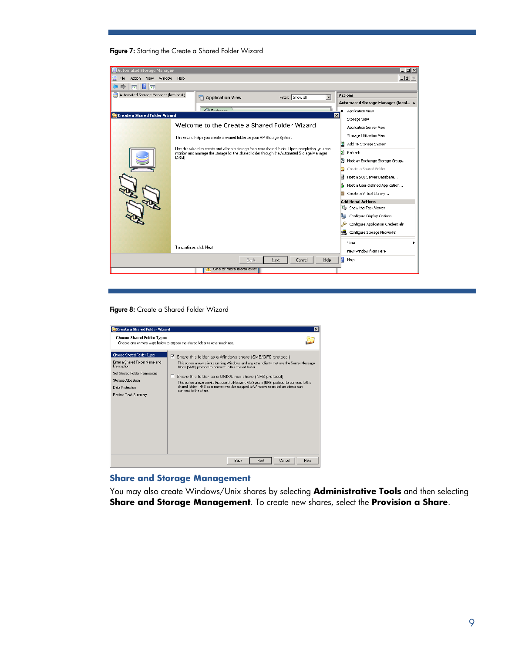#### Figure 7: Starting the Create a Shared Folder Wizard

| <b>Automated Storage Manager</b>      |                                                                                                                                                                                                | $   \Box   \times  $                |
|---------------------------------------|------------------------------------------------------------------------------------------------------------------------------------------------------------------------------------------------|-------------------------------------|
| Window<br>Action View<br>File         | Help                                                                                                                                                                                           | $ P$ $\times$                       |
| 2 <br>ا ہوا                           |                                                                                                                                                                                                |                                     |
| Automated Storage Manager (localhost) | Filter: Show all<br>न<br>Application View                                                                                                                                                      | <b>Actions</b>                      |
|                                       |                                                                                                                                                                                                | Automated Storage Manager (local A  |
|                                       | $\mathbb{Z}$ Euclidean<br>$\overline{\mathbf{x}}$                                                                                                                                              | Application View                    |
| Create a Shared Folder Wizard         |                                                                                                                                                                                                | Storage View                        |
|                                       | Welcome to the Create a Shared Folder Wizard                                                                                                                                                   | Application Server View             |
|                                       | This wizard helps you create a shared folder on your HP Storage System.                                                                                                                        | Storage Utilization View            |
|                                       |                                                                                                                                                                                                | Add HP Storage System               |
|                                       | Use this wizard to create and allocate storage for a new shared folder. Upon completion, you can<br>monitor and manage the storage for the shared folder through the Automated Storage Manager | Ы<br>Refresh                        |
|                                       | (ASM).                                                                                                                                                                                         | D<br>Host an Exchange Storage Group |
|                                       |                                                                                                                                                                                                | Create a Shared Folder              |
|                                       |                                                                                                                                                                                                | Host a SQL Server Database          |
|                                       |                                                                                                                                                                                                | Host a User-Defined Application     |
|                                       |                                                                                                                                                                                                | Create a Virtual Library            |
|                                       |                                                                                                                                                                                                | <b>Additional Actions</b>           |
|                                       |                                                                                                                                                                                                | Sw Show the Task Viewer             |
|                                       |                                                                                                                                                                                                | Configure Display Options           |
|                                       |                                                                                                                                                                                                | Configure Application Credentials   |
|                                       |                                                                                                                                                                                                | L.<br>Configure Storage Networks    |
|                                       |                                                                                                                                                                                                | View                                |
|                                       | To continue, click Next.                                                                                                                                                                       | New Window from Here                |
|                                       | Help<br>Next<br>Cancel<br>Back                                                                                                                                                                 | Help                                |
|                                       | One or more alerts exist                                                                                                                                                                       |                                     |
|                                       |                                                                                                                                                                                                |                                     |

Figure 8: Create a Shared Folder Wizard



#### **Share and Storage Management**

You may also create Windows/Unix shares by selecting **Administrative Tools** and then selecting **Share and Storage Management**. To create new shares, select the **Provision a Share**.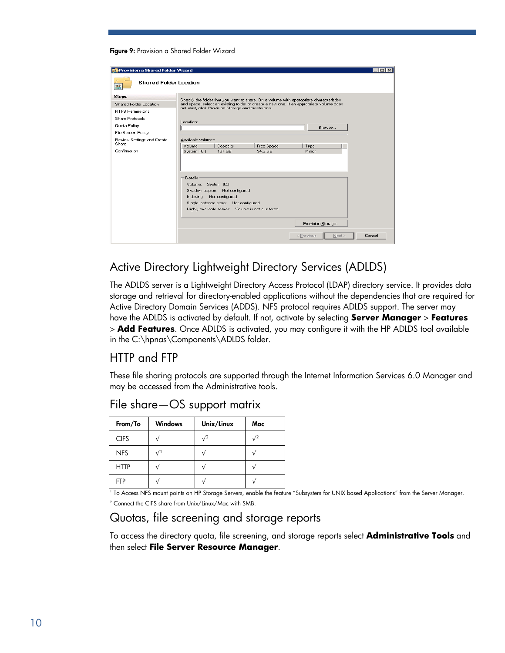#### Figure 9: Provision a Shared Folder Wizard

| Provision a Shared Folder Wizard    |                          |                                                    |                       |                                                                                         | I⊓Ix   |
|-------------------------------------|--------------------------|----------------------------------------------------|-----------------------|-----------------------------------------------------------------------------------------|--------|
| <b>Shared Folder Location</b><br>33 |                          |                                                    |                       |                                                                                         |        |
| Steps:                              |                          |                                                    |                       | Specify the folder that you want to share. On a volume with appropriate characteristics |        |
| Shared Folder Location              |                          | not exist, click Provision Storage and create one. |                       | and space, select an existing folder or create a new one. If an appropriate volume does |        |
| <b>NTFS Permissions</b>             |                          |                                                    |                       |                                                                                         |        |
| <b>Share Protocols</b>              | Location:                |                                                    |                       |                                                                                         |        |
| Quota Policy                        |                          |                                                    |                       | Browse                                                                                  |        |
| File Screen Policy                  |                          |                                                    |                       |                                                                                         |        |
| Review Settings and Create<br>Share | Available volumes:       |                                                    |                       |                                                                                         |        |
| Confirmation                        | Volume<br>System (C:)    | Capacity<br>137 GB                                 | Free Space<br>94.3 GB | Type<br>Mirror                                                                          |        |
|                                     |                          |                                                    |                       |                                                                                         |        |
|                                     |                          |                                                    |                       |                                                                                         |        |
|                                     |                          |                                                    |                       |                                                                                         |        |
|                                     | Details                  |                                                    |                       |                                                                                         |        |
|                                     | Volume: System (C:)      |                                                    |                       |                                                                                         |        |
|                                     |                          | Shadow copies: Not configured                      |                       |                                                                                         |        |
|                                     | Indexing: Not configured |                                                    |                       |                                                                                         |        |
|                                     |                          | Single instance store: Not configured              |                       |                                                                                         |        |
|                                     |                          | Highly available server: Volume is not clustered   |                       |                                                                                         |        |
|                                     |                          |                                                    |                       |                                                                                         |        |
|                                     |                          |                                                    |                       | Provision Storage                                                                       |        |
|                                     |                          |                                                    |                       | Next ><br>< Previous                                                                    | Cancel |

### <span id="page-9-0"></span>Active Directory Lightweight Directory Services (ADLDS)

The ADLDS server is a Lightweight Directory Access Protocol (LDAP) directory service. It provides data storage and retrieval for directory-enabled applications without the dependencies that are required for Active Directory Domain Services (ADDS). NFS protocol requires ADLDS support. The server may have the ADLDS is activated by default. If not, activate by selecting **Server Manager** > **Features**  > **Add Features**. Once ADLDS is activated, you may configure it with the HP ADLDS tool available in the C:\hpnas\Components\ADLDS folder.

### <span id="page-9-1"></span>HTTP and FTP

These file sharing protocols are supported through the Internet Information Services 6.0 Manager and may be accessed from the Administrative tools.

| From/To     | <b>Windows</b> | Unix/Linux | Mac        |
|-------------|----------------|------------|------------|
| <b>CIFS</b> |                | $\sqrt{2}$ | $\sqrt{2}$ |
| <b>NFS</b>  | $\sqrt{1}$     |            |            |
| <b>HTTP</b> |                |            |            |
| <b>FTP</b>  |                |            |            |

#### <span id="page-9-2"></span>File share—OS support matrix

1 To Access NFS mount points on HP Storage Servers, enable the feature "Subsystem for UNIX based Applications" from the Server Manager. 2 Connect the CIFS share from Unix/Linux/Mac with SMB.

### <span id="page-9-3"></span>Quotas, file screening and storage reports

To access the directory quota, file screening, and storage reports select **Administrative Tools** and then select **File Server Resource Manager**.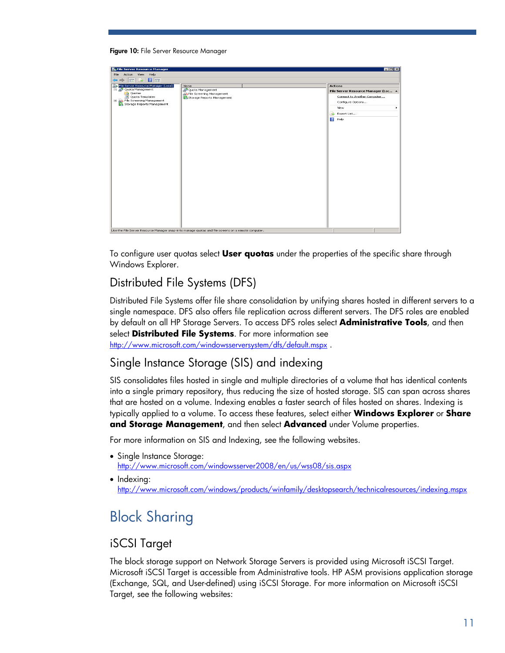#### Figure 10: File Server Resource Manager



To configure user quotas select **User quotas** under the properties of the specific share through Windows Explorer.

### <span id="page-10-0"></span>Distributed File Systems (DFS)

Distributed File Systems offer file share consolidation by unifying shares hosted in different servers to a single namespace. DFS also offers file replication across different servers. The DFS roles are enabled by default on all HP Storage Servers. To access DFS roles select **Administrative Tools**, and then select **Distributed File Systems**. For more information see

http://www.microsoft.com/windowsserversystem/dfs/default.mspx.

#### <span id="page-10-1"></span>Single Instance Storage (SIS) and indexing

SIS consolidates files hosted in single and multiple directories of a volume that has identical contents into a single primary repository, thus reducing the size of hosted storage. SIS can span across shares that are hosted on a volume. Indexing enables a faster search of files hosted on shares. Indexing is typically applied to a volume. To access these features, select either **Windows Explorer** or **Share and Storage Management**, and then select **Advanced** under Volume properties.

For more information on SIS and Indexing, see the following websites.

- Single Instance Storage: <http://www.microsoft.com/windowsserver2008/en/us/wss08/sis.aspx>
- Indexina: <http://www.microsoft.com/windows/products/winfamily/desktopsearch/technicalresources/indexing.mspx>

# <span id="page-10-2"></span>Block Sharing

### <span id="page-10-3"></span>iSCSI Target

The block storage support on Network Storage Servers is provided using Microsoft iSCSI Target. Microsoft iSCSI Target is accessible from Administrative tools. HP ASM provisions application storage (Exchange, SQL, and User-defined) using iSCSI Storage. For more information on Microsoft iSCSI Target, see the following websites: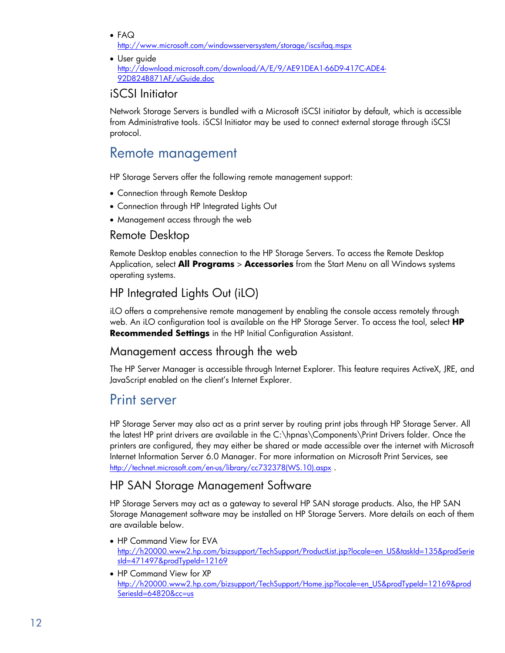- FAQ <http://www.microsoft.com/windowsserversystem/storage/iscsifaq.mspx>
- User guide [http://download.microsoft.com/download/A/E/9/AE91DEA1-66D9-417C-ADE4-](http://download.microsoft.com/download/A/E/9/AE91DEA1-66D9-417C-ADE4-92D824B871AF/uGuide.doc) [92D824B871AF/uGuide.doc](http://download.microsoft.com/download/A/E/9/AE91DEA1-66D9-417C-ADE4-92D824B871AF/uGuide.doc)

#### <span id="page-11-0"></span>iSCSI Initiator

Network Storage Servers is bundled with a Microsoft iSCSI initiator by default, which is accessible from Administrative tools. iSCSI Initiator may be used to connect external storage through iSCSI protocol.

## <span id="page-11-1"></span>Remote management

HP Storage Servers offer the following remote management support:

- Connection through Remote Desktop
- Connection through HP Integrated Lights Out
- Management access through the web

#### <span id="page-11-2"></span>Remote Desktop

Remote Desktop enables connection to the HP Storage Servers. To access the Remote Desktop Application, select **All Programs** > **Accessories** from the Start Menu on all Windows systems operating systems.

### <span id="page-11-3"></span>HP Integrated Lights Out (iLO)

iLO offers a comprehensive remote management by enabling the console access remotely through web. An iLO configuration tool is available on the HP Storage Server. To access the tool, select **HP Recommended Settings** in the HP Initial Configuration Assistant.

### <span id="page-11-4"></span>Management access through the web

The HP Server Manager is accessible through Internet Explorer. This feature requires ActiveX, JRE, and JavaScript enabled on the client's Internet Explorer.

## <span id="page-11-5"></span>Print server

HP Storage Server may also act as a print server by routing print jobs through HP Storage Server. All the latest HP print drivers are available in the C:\hpnas\Components\Print Drivers folder. Once the printers are configured, they may either be shared or made accessible over the internet with Microsoft Internet Information Server 6.0 Manager. For more information on Microsoft Print Services, see http://technet.microsoft.com/en-us/library/cc732378(WS.10).aspx.

### <span id="page-11-6"></span>HP SAN Storage Management Software

HP Storage Servers may act as a gateway to several HP SAN storage products. Also, the HP SAN Storage Management software may be installed on HP Storage Servers. More details on each of them are available below.

- HP Command View for EVA [http://h20000.www2.hp.com/bizsupport/TechSupport/ProductList.jsp?locale=en\\_US&taskId=135&prodSerie](http://h20000.www2.hp.com/bizsupport/TechSupport/ProductList.jsp?locale=en_US&taskId=135&prodSeriesId=471497&prodTypeId=12169) [sId=471497&prodTypeId=12169](http://h20000.www2.hp.com/bizsupport/TechSupport/ProductList.jsp?locale=en_US&taskId=135&prodSeriesId=471497&prodTypeId=12169)
- HP Command View for XP [http://h20000.www2.hp.com/bizsupport/TechSupport/Home.jsp?locale=en\\_US&prodTypeId=12169&prod](http://h20000.www2.hp.com/bizsupport/TechSupport/Home.jsp?locale=en_US&prodTypeId=12169&prodSeriesId=64820&cc=us) [SeriesId=64820&cc=us](http://h20000.www2.hp.com/bizsupport/TechSupport/Home.jsp?locale=en_US&prodTypeId=12169&prodSeriesId=64820&cc=us)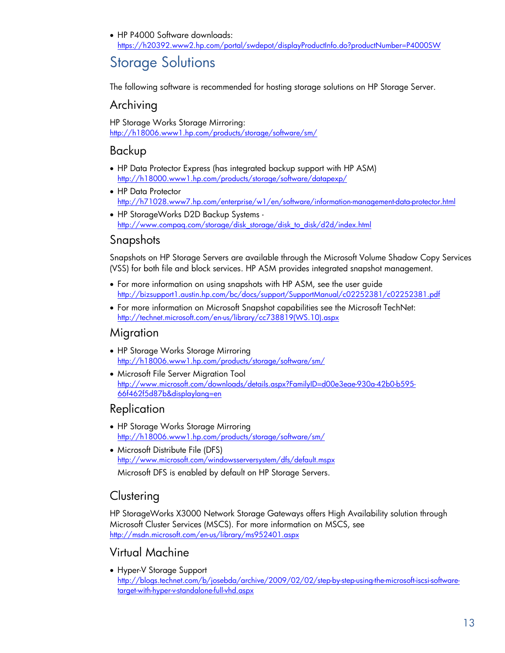• HP P4000 Software downloads: <https://h20392.www2.hp.com/portal/swdepot/displayProductInfo.do?productNumber=P4000SW>

# <span id="page-12-0"></span>Storage Solutions

The following software is recommended for hosting storage solutions on HP Storage Server.

### <span id="page-12-1"></span>Archiving

HP Storage Works Storage Mirroring: <http://h18006.www1.hp.com/products/storage/software/sm/>

### <span id="page-12-2"></span>Backup

- HP Data Protector Express (has integrated backup support with HP ASM) <http://h18000.www1.hp.com/products/storage/software/datapexp/>
- HP Data Protector <http://h71028.www7.hp.com/enterprise/w1/en/software/information-management-data-protector.html>
- HP StorageWorks D2D Backup Systems [http://www.compaq.com/storage/disk\\_storage/disk\\_to\\_disk/d2d/index.html](http://www.compaq.com/storage/disk_storage/disk_to_disk/d2d/index.html)

### <span id="page-12-3"></span>Snapshots

Snapshots on HP Storage Servers are available through the Microsoft Volume Shadow Copy Services (VSS) for both file and block services. HP ASM provides integrated snapshot management.

- For more information on using snapshots with HP ASM, see the user guide <http://bizsupport1.austin.hp.com/bc/docs/support/SupportManual/c02252381/c02252381.pdf>
- For more information on Microsoft Snapshot capabilities see the Microsoft TechNet: [http://technet.microsoft.com/en-us/library/cc738819\(WS.10\).aspx](http://technet.microsoft.com/en-us/library/cc738819(WS.10).aspx)

#### <span id="page-12-4"></span>Migration

- HP Storage Works Storage Mirroring <http://h18006.www1.hp.com/products/storage/software/sm/>
- Microsoft File Server Migration Tool [http://www.microsoft.com/downloads/details.aspx?FamilyID=d00e3eae-930a-42b0-b595-](http://www.microsoft.com/downloads/details.aspx?FamilyID=d00e3eae-930a-42b0-b595-66f462f5d87b&displaylang=en) [66f462f5d87b&displaylang=en](http://www.microsoft.com/downloads/details.aspx?FamilyID=d00e3eae-930a-42b0-b595-66f462f5d87b&displaylang=en)

#### <span id="page-12-5"></span>Replication

- HP Storage Works Storage Mirroring <http://h18006.www1.hp.com/products/storage/software/sm/>
- Microsoft Distribute File (DFS) <http://www.microsoft.com/windowsserversystem/dfs/default.mspx>

Microsoft DFS is enabled by default on HP Storage Servers.

## <span id="page-12-6"></span>**Clustering**

HP StorageWorks X3000 Network Storage Gateways offers High Availability solution through Microsoft Cluster Services (MSCS). For more information on MSCS, see <http://msdn.microsoft.com/en-us/library/ms952401.aspx>

### <span id="page-12-7"></span>Virtual Machine

• Hyper-V Storage Support [http://blogs.technet.com/b/josebda/archive/2009/02/02/step-by-step-using-the-microsoft-iscsi-software](http://blogs.technet.com/b/josebda/archive/2009/02/02/step-by-step-using-the-microsoft-iscsi-software-target-with-hyper-v-standalone-full-vhd.aspx)[target-with-hyper-v-standalone-full-vhd.aspx](http://blogs.technet.com/b/josebda/archive/2009/02/02/step-by-step-using-the-microsoft-iscsi-software-target-with-hyper-v-standalone-full-vhd.aspx)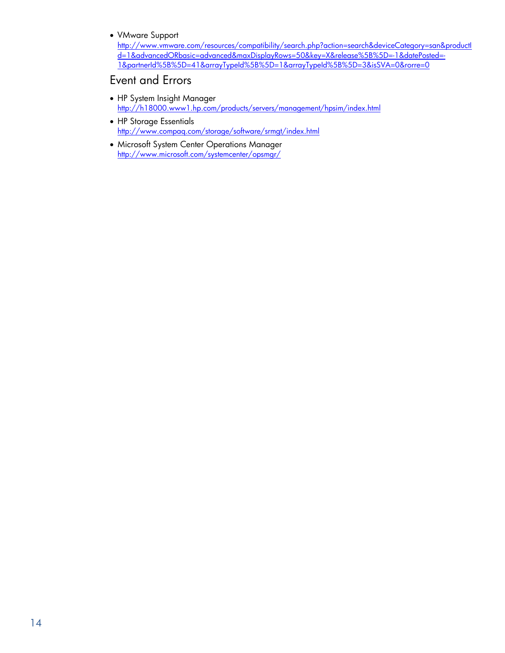• VMware Support

[http://www.vmware.com/resources/compatibility/search.php?action=search&deviceCategory=san&productI](http://www.vmware.com/resources/compatibility/search.php?action=search&deviceCategory=san&productId=1&advancedORbasic=advanced&maxDisplayRows=50&key=X&release%5B%5D=-1&datePosted=-1&partnerId%5B%5D=41&arrayTypeId%5B%5D=1&arrayTypeId%5B%5D=3&isSVA=0&rorre=0) [d=1&advancedORbasic=advanced&maxDisplayRows=50&key=X&release%5B%5D=-1&datePosted=-](http://www.vmware.com/resources/compatibility/search.php?action=search&deviceCategory=san&productId=1&advancedORbasic=advanced&maxDisplayRows=50&key=X&release%5B%5D=-1&datePosted=-1&partnerId%5B%5D=41&arrayTypeId%5B%5D=1&arrayTypeId%5B%5D=3&isSVA=0&rorre=0) [1&partnerId%5B%5D=41&arrayTypeId%5B%5D=1&arrayTypeId%5B%5D=3&isSVA=0&rorre=0](http://www.vmware.com/resources/compatibility/search.php?action=search&deviceCategory=san&productId=1&advancedORbasic=advanced&maxDisplayRows=50&key=X&release%5B%5D=-1&datePosted=-1&partnerId%5B%5D=41&arrayTypeId%5B%5D=1&arrayTypeId%5B%5D=3&isSVA=0&rorre=0)

#### <span id="page-13-0"></span>Event and Errors

- HP System Insight Manager <http://h18000.www1.hp.com/products/servers/management/hpsim/index.html>
- HP Storage Essentials <http://www.compaq.com/storage/software/srmgt/index.html>
- Microsoft System Center Operations Manager <http://www.microsoft.com/systemcenter/opsmgr/>